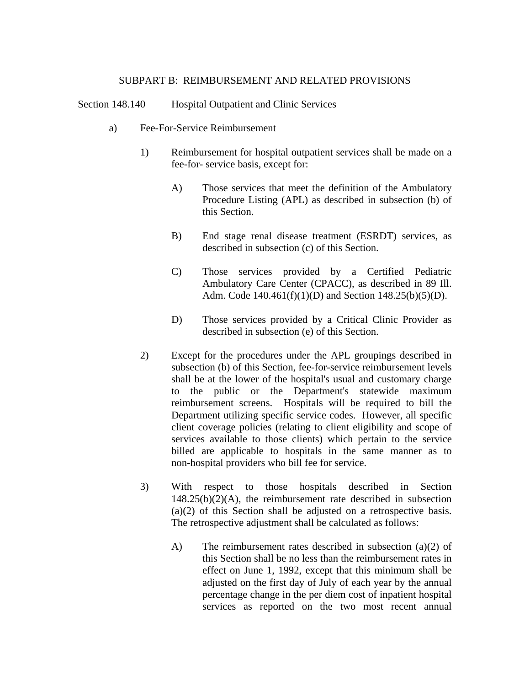#### SUBPART B: REIMBURSEMENT AND RELATED PROVISIONS

Section 148.140 Hospital Outpatient and Clinic Services

- a) Fee-For-Service Reimbursement
	- 1) Reimbursement for hospital outpatient services shall be made on a fee-for- service basis, except for:
		- A) Those services that meet the definition of the Ambulatory Procedure Listing (APL) as described in subsection (b) of this Section.
		- B) End stage renal disease treatment (ESRDT) services, as described in subsection (c) of this Section.
		- C) Those services provided by a Certified Pediatric Ambulatory Care Center (CPACC), as described in 89 Ill. Adm. Code 140.461(f)(1)(D) and Section 148.25(b)(5)(D).
		- D) Those services provided by a Critical Clinic Provider as described in subsection (e) of this Section.
	- 2) Except for the procedures under the APL groupings described in subsection (b) of this Section, fee-for-service reimbursement levels shall be at the lower of the hospital's usual and customary charge to the public or the Department's statewide maximum reimbursement screens. Hospitals will be required to bill the Department utilizing specific service codes. However, all specific client coverage policies (relating to client eligibility and scope of services available to those clients) which pertain to the service billed are applicable to hospitals in the same manner as to non-hospital providers who bill fee for service.
	- 3) With respect to those hospitals described in Section 148.25(b)(2)(A), the reimbursement rate described in subsection (a)(2) of this Section shall be adjusted on a retrospective basis. The retrospective adjustment shall be calculated as follows:
		- A) The reimbursement rates described in subsection (a)(2) of this Section shall be no less than the reimbursement rates in effect on June 1, 1992, except that this minimum shall be adjusted on the first day of July of each year by the annual percentage change in the per diem cost of inpatient hospital services as reported on the two most recent annual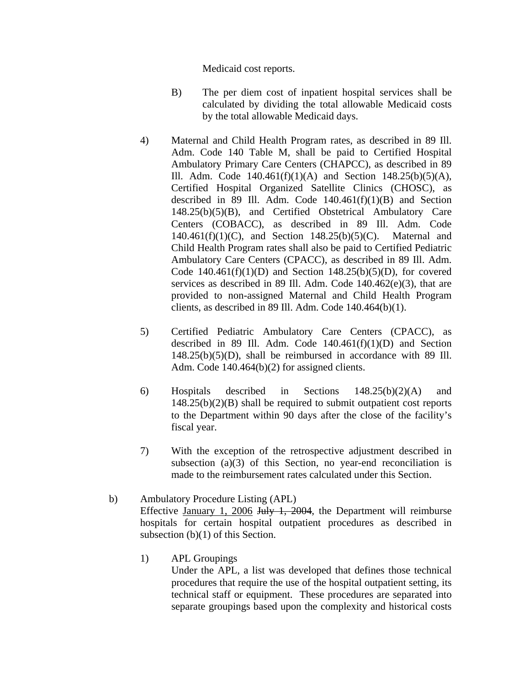Medicaid cost reports.

- B) The per diem cost of inpatient hospital services shall be calculated by dividing the total allowable Medicaid costs by the total allowable Medicaid days.
- 4) Maternal and Child Health Program rates, as described in 89 Ill. Adm. Code 140 Table M, shall be paid to Certified Hospital Ambulatory Primary Care Centers (CHAPCC), as described in 89 Ill. Adm. Code  $140.461(f)(1)(A)$  and Section  $148.25(b)(5)(A)$ , Certified Hospital Organized Satellite Clinics (CHOSC), as described in 89 Ill. Adm. Code  $140.461(f)(1)(B)$  and Section 148.25(b)(5)(B), and Certified Obstetrical Ambulatory Care Centers (COBACC), as described in 89 Ill. Adm. Code 140.461(f)(1)(C), and Section 148.25(b)(5)(C). Maternal and Child Health Program rates shall also be paid to Certified Pediatric Ambulatory Care Centers (CPACC), as described in 89 Ill. Adm. Code  $140.461(f)(1)(D)$  and Section  $148.25(b)(5)(D)$ , for covered services as described in 89 Ill. Adm. Code 140.462(e)(3), that are provided to non-assigned Maternal and Child Health Program clients, as described in 89 Ill. Adm. Code 140.464(b)(1).
- 5) Certified Pediatric Ambulatory Care Centers (CPACC), as described in 89 Ill. Adm. Code  $140.461(f)(1)(D)$  and Section 148.25(b)(5)(D), shall be reimbursed in accordance with 89 Ill. Adm. Code 140.464(b)(2) for assigned clients.
- 6) Hospitals described in Sections 148.25(b)(2)(A) and 148.25(b)(2)(B) shall be required to submit outpatient cost reports to the Department within 90 days after the close of the facility's fiscal year.
- 7) With the exception of the retrospective adjustment described in subsection (a)(3) of this Section, no year-end reconciliation is made to the reimbursement rates calculated under this Section.
- b) Ambulatory Procedure Listing (APL) Effective January 1, 2006 July 1, 2004, the Department will reimburse hospitals for certain hospital outpatient procedures as described in subsection (b)(1) of this Section.
	- 1) APL Groupings

Under the APL, a list was developed that defines those technical procedures that require the use of the hospital outpatient setting, its technical staff or equipment. These procedures are separated into separate groupings based upon the complexity and historical costs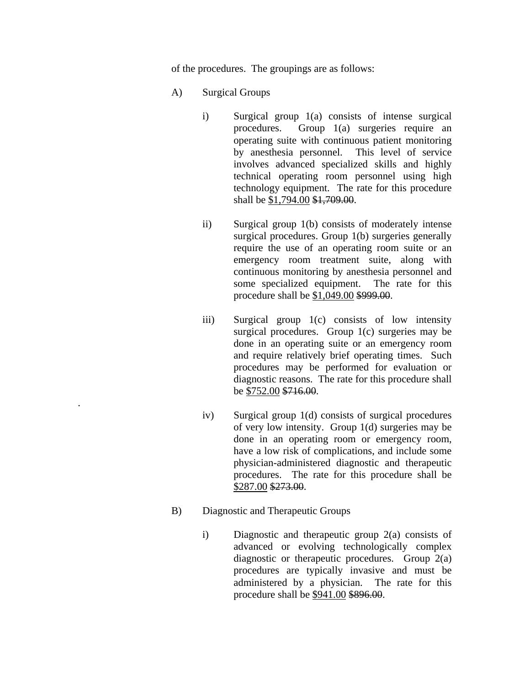of the procedures. The groupings are as follows:

- A) Surgical Groups
	- i) Surgical group 1(a) consists of intense surgical procedures. Group 1(a) surgeries require an operating suite with continuous patient monitoring by anesthesia personnel. This level of service involves advanced specialized skills and highly technical operating room personnel using high technology equipment. The rate for this procedure shall be \$1,794.00 \$1,709.00.
	- ii) Surgical group 1(b) consists of moderately intense surgical procedures. Group 1(b) surgeries generally require the use of an operating room suite or an emergency room treatment suite, along with continuous monitoring by anesthesia personnel and some specialized equipment. The rate for this procedure shall be \$1,049.00 \$999.00.
	- iii) Surgical group 1(c) consists of low intensity surgical procedures. Group 1(c) surgeries may be done in an operating suite or an emergency room and require relatively brief operating times. Such procedures may be performed for evaluation or diagnostic reasons. The rate for this procedure shall be \$752.00 \$716.00.
	- iv) Surgical group 1(d) consists of surgical procedures of very low intensity. Group 1(d) surgeries may be done in an operating room or emergency room, have a low risk of complications, and include some physician-administered diagnostic and therapeutic procedures. The rate for this procedure shall be \$287.00 \$273.00.
- B) Diagnostic and Therapeutic Groups

.

 i) Diagnostic and therapeutic group 2(a) consists of advanced or evolving technologically complex diagnostic or therapeutic procedures. Group 2(a) procedures are typically invasive and must be administered by a physician. The rate for this procedure shall be \$941.00 \$896.00.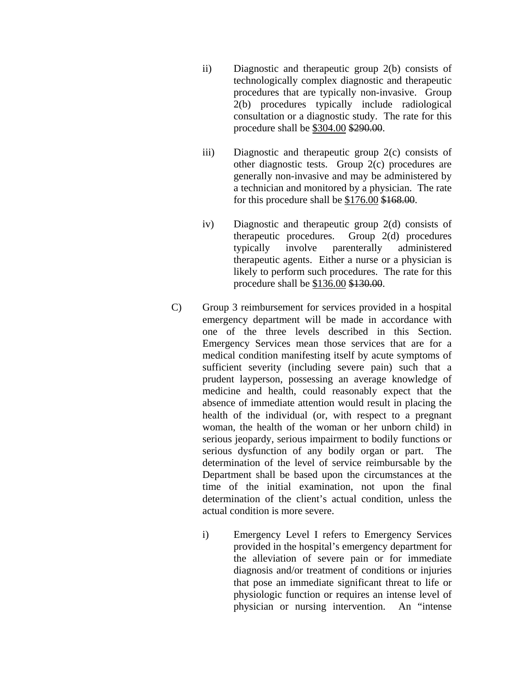- ii) Diagnostic and therapeutic group 2(b) consists of technologically complex diagnostic and therapeutic procedures that are typically non-invasive. Group 2(b) procedures typically include radiological consultation or a diagnostic study. The rate for this procedure shall be \$304.00 \$290.00.
- iii) Diagnostic and therapeutic group 2(c) consists of other diagnostic tests. Group 2(c) procedures are generally non-invasive and may be administered by a technician and monitored by a physician. The rate for this procedure shall be \$176.00 \$168.00.
- iv) Diagnostic and therapeutic group 2(d) consists of therapeutic procedures. Group 2(d) procedures typically involve parenterally administered therapeutic agents. Either a nurse or a physician is likely to perform such procedures. The rate for this procedure shall be \$136.00 \$130.00.
- C) Group 3 reimbursement for services provided in a hospital emergency department will be made in accordance with one of the three levels described in this Section. Emergency Services mean those services that are for a medical condition manifesting itself by acute symptoms of sufficient severity (including severe pain) such that a prudent layperson, possessing an average knowledge of medicine and health, could reasonably expect that the absence of immediate attention would result in placing the health of the individual (or, with respect to a pregnant woman, the health of the woman or her unborn child) in serious jeopardy, serious impairment to bodily functions or serious dysfunction of any bodily organ or part. The determination of the level of service reimbursable by the Department shall be based upon the circumstances at the time of the initial examination, not upon the final determination of the client's actual condition, unless the actual condition is more severe.
	- i) Emergency Level I refers to Emergency Services provided in the hospital's emergency department for the alleviation of severe pain or for immediate diagnosis and/or treatment of conditions or injuries that pose an immediate significant threat to life or physiologic function or requires an intense level of physician or nursing intervention. An "intense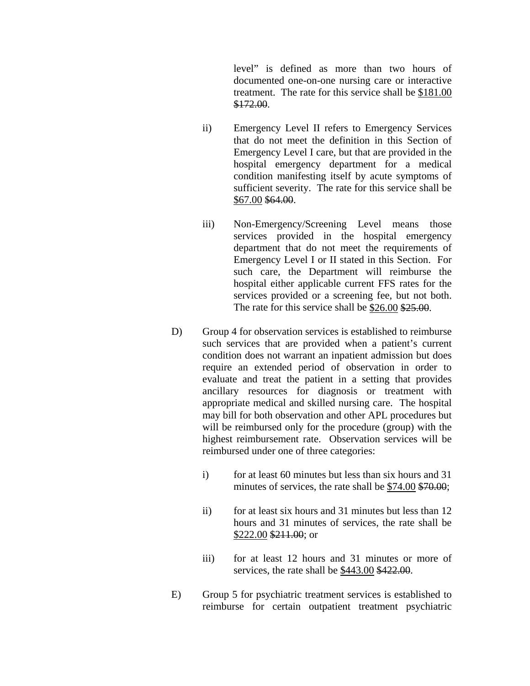level" is defined as more than two hours of documented one-on-one nursing care or interactive treatment. The rate for this service shall be \$181.00 \$172.00.

- ii) Emergency Level II refers to Emergency Services that do not meet the definition in this Section of Emergency Level I care, but that are provided in the hospital emergency department for a medical condition manifesting itself by acute symptoms of sufficient severity. The rate for this service shall be \$67.00 \$64.00.
- iii) Non-Emergency/Screening Level means those services provided in the hospital emergency department that do not meet the requirements of Emergency Level I or II stated in this Section. For such care, the Department will reimburse the hospital either applicable current FFS rates for the services provided or a screening fee, but not both. The rate for this service shall be \$26.00 \$25.00.
- D) Group 4 for observation services is established to reimburse such services that are provided when a patient's current condition does not warrant an inpatient admission but does require an extended period of observation in order to evaluate and treat the patient in a setting that provides ancillary resources for diagnosis or treatment with appropriate medical and skilled nursing care. The hospital may bill for both observation and other APL procedures but will be reimbursed only for the procedure (group) with the highest reimbursement rate. Observation services will be reimbursed under one of three categories:
	- i) for at least 60 minutes but less than six hours and 31 minutes of services, the rate shall be \$74.00 \$70.00;
	- ii) for at least six hours and 31 minutes but less than 12 hours and 31 minutes of services, the rate shall be \$222.00 \$211.00; or
	- iii) for at least 12 hours and 31 minutes or more of services, the rate shall be \$443.00 \$422.00.
- E) Group 5 for psychiatric treatment services is established to reimburse for certain outpatient treatment psychiatric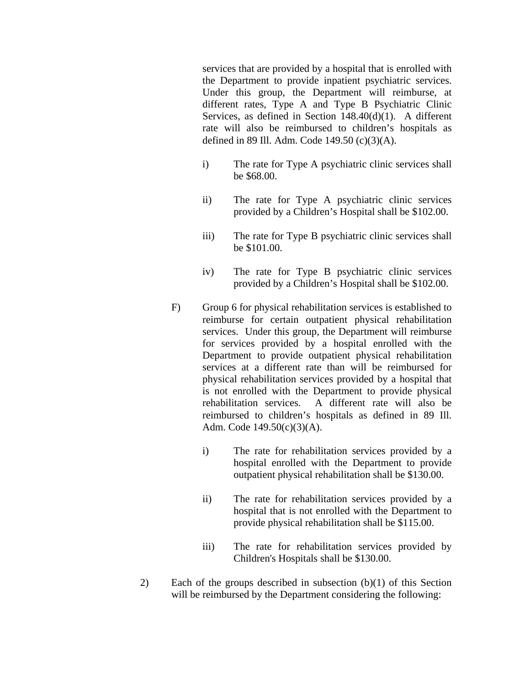services that are provided by a hospital that is enrolled with the Department to provide inpatient psychiatric services. Under this group, the Department will reimburse, at different rates, Type A and Type B Psychiatric Clinic Services, as defined in Section 148.40(d)(1). A different rate will also be reimbursed to children's hospitals as defined in 89 Ill. Adm. Code 149.50 (c)(3)(A).

- i) The rate for Type A psychiatric clinic services shall be \$68.00.
- ii) The rate for Type A psychiatric clinic services provided by a Children's Hospital shall be \$102.00.
- iii) The rate for Type B psychiatric clinic services shall be \$101.00.
- iv) The rate for Type B psychiatric clinic services provided by a Children's Hospital shall be \$102.00.
- F) Group 6 for physical rehabilitation services is established to reimburse for certain outpatient physical rehabilitation services. Under this group, the Department will reimburse for services provided by a hospital enrolled with the Department to provide outpatient physical rehabilitation services at a different rate than will be reimbursed for physical rehabilitation services provided by a hospital that is not enrolled with the Department to provide physical rehabilitation services. A different rate will also be reimbursed to children's hospitals as defined in 89 Ill. Adm. Code 149.50(c)(3)(A).
	- i) The rate for rehabilitation services provided by a hospital enrolled with the Department to provide outpatient physical rehabilitation shall be \$130.00.
	- ii) The rate for rehabilitation services provided by a hospital that is not enrolled with the Department to provide physical rehabilitation shall be \$115.00.
	- iii) The rate for rehabilitation services provided by Children's Hospitals shall be \$130.00.
- 2) Each of the groups described in subsection (b)(1) of this Section will be reimbursed by the Department considering the following: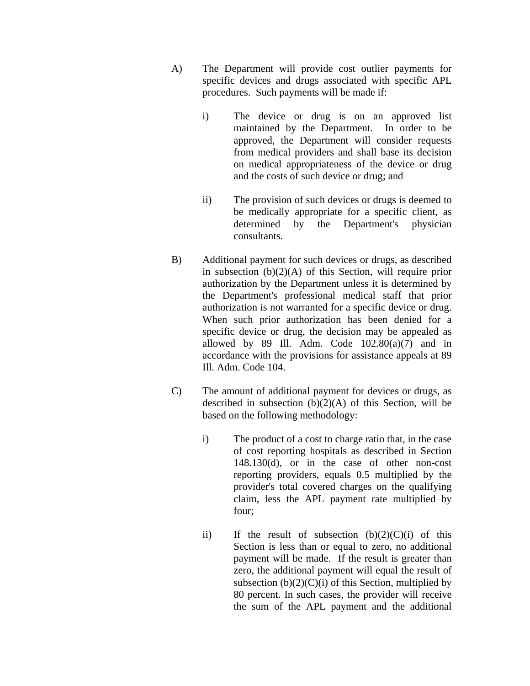- A) The Department will provide cost outlier payments for specific devices and drugs associated with specific APL procedures. Such payments will be made if:
	- i) The device or drug is on an approved list maintained by the Department. In order to be approved, the Department will consider requests from medical providers and shall base its decision on medical appropriateness of the device or drug and the costs of such device or drug; and
	- ii) The provision of such devices or drugs is deemed to be medically appropriate for a specific client, as determined by the Department's physician consultants.
- B) Additional payment for such devices or drugs, as described in subsection  $(b)(2)(A)$  of this Section, will require prior authorization by the Department unless it is determined by the Department's professional medical staff that prior authorization is not warranted for a specific device or drug. When such prior authorization has been denied for a specific device or drug, the decision may be appealed as allowed by 89 Ill. Adm. Code  $102.80(a)(7)$  and in accordance with the provisions for assistance appeals at 89 Ill. Adm. Code 104.
- C) The amount of additional payment for devices or drugs, as described in subsection  $(b)(2)(A)$  of this Section, will be based on the following methodology:
	- i) The product of a cost to charge ratio that, in the case of cost reporting hospitals as described in Section 148.130(d), or in the case of other non-cost reporting providers, equals 0.5 multiplied by the provider's total covered charges on the qualifying claim, less the APL payment rate multiplied by four;
	- ii) If the result of subsection  $(b)(2)(C)(i)$  of this Section is less than or equal to zero, no additional payment will be made. If the result is greater than zero, the additional payment will equal the result of subsection  $(b)(2)(C)(i)$  of this Section, multiplied by 80 percent. In such cases, the provider will receive the sum of the APL payment and the additional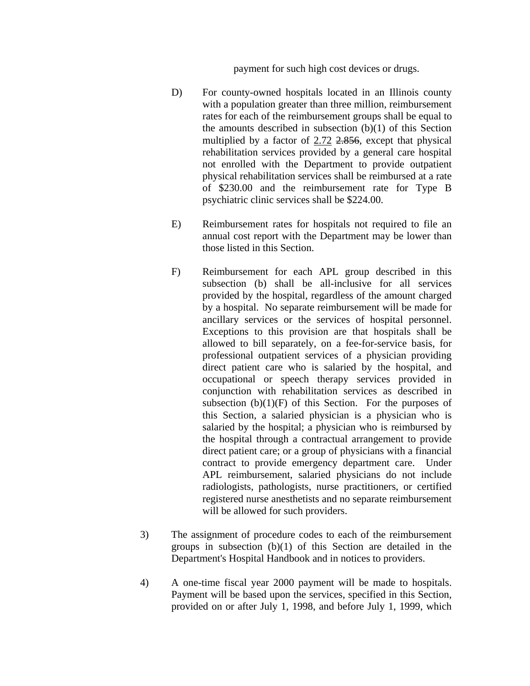payment for such high cost devices or drugs.

- D) For county-owned hospitals located in an Illinois county with a population greater than three million, reimbursement rates for each of the reimbursement groups shall be equal to the amounts described in subsection (b)(1) of this Section multiplied by a factor of 2.72 2.856, except that physical rehabilitation services provided by a general care hospital not enrolled with the Department to provide outpatient physical rehabilitation services shall be reimbursed at a rate of \$230.00 and the reimbursement rate for Type B psychiatric clinic services shall be \$224.00.
- E) Reimbursement rates for hospitals not required to file an annual cost report with the Department may be lower than those listed in this Section.
- F) Reimbursement for each APL group described in this subsection (b) shall be all-inclusive for all services provided by the hospital, regardless of the amount charged by a hospital. No separate reimbursement will be made for ancillary services or the services of hospital personnel. Exceptions to this provision are that hospitals shall be allowed to bill separately, on a fee-for-service basis, for professional outpatient services of a physician providing direct patient care who is salaried by the hospital, and occupational or speech therapy services provided in conjunction with rehabilitation services as described in subsection  $(b)(1)(F)$  of this Section. For the purposes of this Section, a salaried physician is a physician who is salaried by the hospital; a physician who is reimbursed by the hospital through a contractual arrangement to provide direct patient care; or a group of physicians with a financial contract to provide emergency department care. Under APL reimbursement, salaried physicians do not include radiologists, pathologists, nurse practitioners, or certified registered nurse anesthetists and no separate reimbursement will be allowed for such providers.
- 3) The assignment of procedure codes to each of the reimbursement groups in subsection (b)(1) of this Section are detailed in the Department's Hospital Handbook and in notices to providers.
- 4) A one-time fiscal year 2000 payment will be made to hospitals. Payment will be based upon the services, specified in this Section, provided on or after July 1, 1998, and before July 1, 1999, which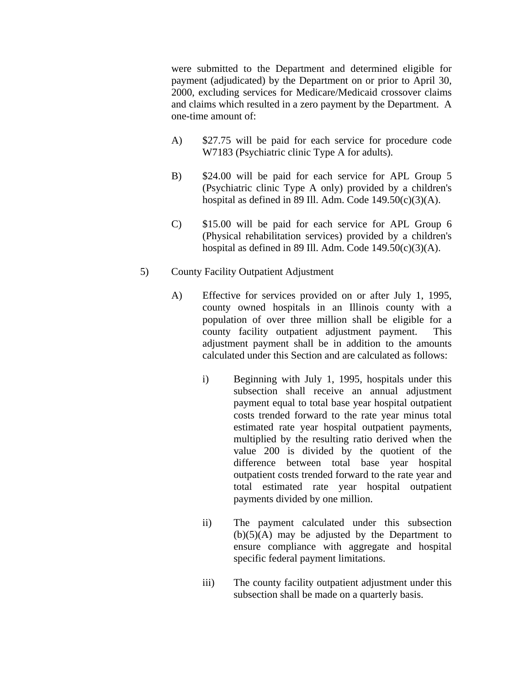were submitted to the Department and determined eligible for payment (adjudicated) by the Department on or prior to April 30, 2000, excluding services for Medicare/Medicaid crossover claims and claims which resulted in a zero payment by the Department. A one-time amount of:

- A) \$27.75 will be paid for each service for procedure code W7183 (Psychiatric clinic Type A for adults).
- B) \$24.00 will be paid for each service for APL Group 5 (Psychiatric clinic Type A only) provided by a children's hospital as defined in 89 Ill. Adm. Code  $149.50(c)(3)(A)$ .
- C) \$15.00 will be paid for each service for APL Group 6 (Physical rehabilitation services) provided by a children's hospital as defined in 89 Ill. Adm. Code  $149.50(c)(3)(A)$ .
- 5) County Facility Outpatient Adjustment
	- A) Effective for services provided on or after July 1, 1995, county owned hospitals in an Illinois county with a population of over three million shall be eligible for a county facility outpatient adjustment payment. This adjustment payment shall be in addition to the amounts calculated under this Section and are calculated as follows:
		- i) Beginning with July 1, 1995, hospitals under this subsection shall receive an annual adjustment payment equal to total base year hospital outpatient costs trended forward to the rate year minus total estimated rate year hospital outpatient payments, multiplied by the resulting ratio derived when the value 200 is divided by the quotient of the difference between total base year hospital outpatient costs trended forward to the rate year and total estimated rate year hospital outpatient payments divided by one million.
		- ii) The payment calculated under this subsection  $(b)(5)(A)$  may be adjusted by the Department to ensure compliance with aggregate and hospital specific federal payment limitations.
		- iii) The county facility outpatient adjustment under this subsection shall be made on a quarterly basis.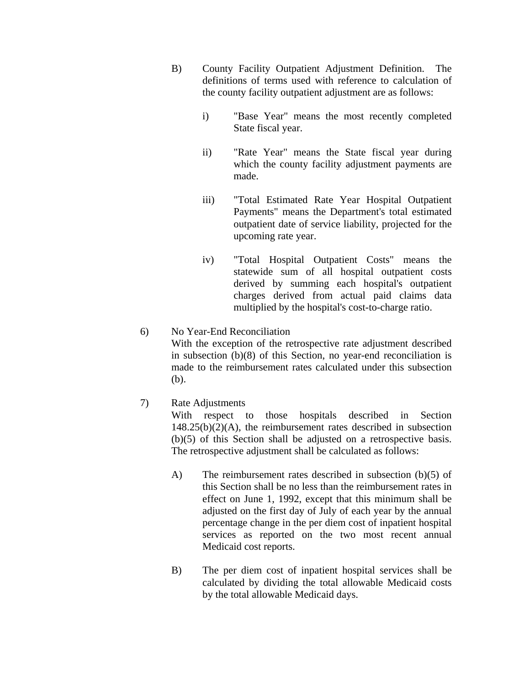- B) County Facility Outpatient Adjustment Definition. The definitions of terms used with reference to calculation of the county facility outpatient adjustment are as follows:
	- i) "Base Year" means the most recently completed State fiscal year.
	- ii) "Rate Year" means the State fiscal year during which the county facility adjustment payments are made.
	- iii) "Total Estimated Rate Year Hospital Outpatient Payments" means the Department's total estimated outpatient date of service liability, projected for the upcoming rate year.
	- iv) "Total Hospital Outpatient Costs" means the statewide sum of all hospital outpatient costs derived by summing each hospital's outpatient charges derived from actual paid claims data multiplied by the hospital's cost-to-charge ratio.

# 6) No Year-End Reconciliation With the exception of the retrospective rate adjustment described in subsection (b)(8) of this Section, no year-end reconciliation is made to the reimbursement rates calculated under this subsection (b).

# 7) Rate Adjustments

With respect to those hospitals described in Section  $148.25(b)(2)(A)$ , the reimbursement rates described in subsection (b)(5) of this Section shall be adjusted on a retrospective basis. The retrospective adjustment shall be calculated as follows:

- A) The reimbursement rates described in subsection (b)(5) of this Section shall be no less than the reimbursement rates in effect on June 1, 1992, except that this minimum shall be adjusted on the first day of July of each year by the annual percentage change in the per diem cost of inpatient hospital services as reported on the two most recent annual Medicaid cost reports.
- B) The per diem cost of inpatient hospital services shall be calculated by dividing the total allowable Medicaid costs by the total allowable Medicaid days.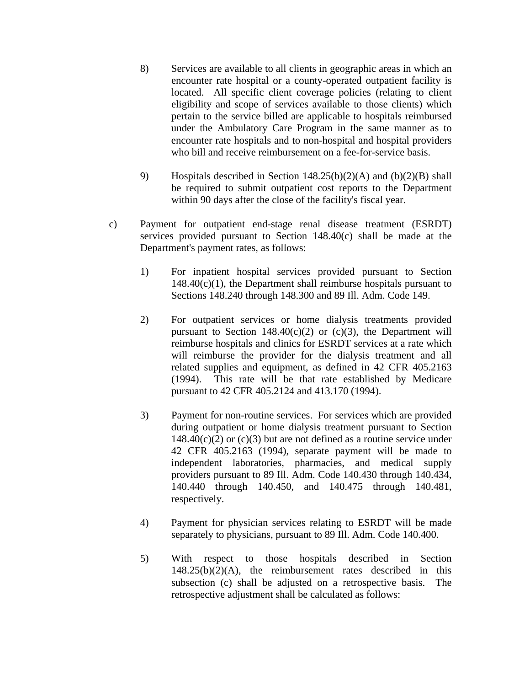- 8) Services are available to all clients in geographic areas in which an encounter rate hospital or a county-operated outpatient facility is located. All specific client coverage policies (relating to client eligibility and scope of services available to those clients) which pertain to the service billed are applicable to hospitals reimbursed under the Ambulatory Care Program in the same manner as to encounter rate hospitals and to non-hospital and hospital providers who bill and receive reimbursement on a fee-for-service basis.
- 9) Hospitals described in Section 148.25(b)(2)(A) and (b)(2)(B) shall be required to submit outpatient cost reports to the Department within 90 days after the close of the facility's fiscal year.
- c) Payment for outpatient end-stage renal disease treatment (ESRDT) services provided pursuant to Section 148.40(c) shall be made at the Department's payment rates, as follows:
	- 1) For inpatient hospital services provided pursuant to Section  $148.40(c)(1)$ , the Department shall reimburse hospitals pursuant to Sections 148.240 through 148.300 and 89 Ill. Adm. Code 149.
	- 2) For outpatient services or home dialysis treatments provided pursuant to Section  $148.40(c)(2)$  or  $(c)(3)$ , the Department will reimburse hospitals and clinics for ESRDT services at a rate which will reimburse the provider for the dialysis treatment and all related supplies and equipment, as defined in 42 CFR 405.2163 (1994). This rate will be that rate established by Medicare pursuant to 42 CFR 405.2124 and 413.170 (1994).
	- 3) Payment for non-routine services. For services which are provided during outpatient or home dialysis treatment pursuant to Section  $148.40(c)(2)$  or  $(c)(3)$  but are not defined as a routine service under 42 CFR 405.2163 (1994), separate payment will be made to independent laboratories, pharmacies, and medical supply providers pursuant to 89 Ill. Adm. Code 140.430 through 140.434, 140.440 through 140.450, and 140.475 through 140.481, respectively.
	- 4) Payment for physician services relating to ESRDT will be made separately to physicians, pursuant to 89 Ill. Adm. Code 140.400.
	- 5) With respect to those hospitals described in Section  $148.25(b)(2)(A)$ , the reimbursement rates described in this subsection (c) shall be adjusted on a retrospective basis. The retrospective adjustment shall be calculated as follows: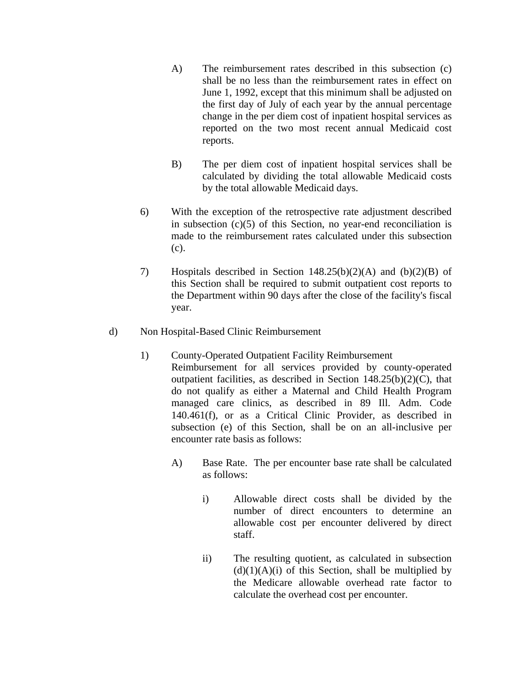- A) The reimbursement rates described in this subsection (c) shall be no less than the reimbursement rates in effect on June 1, 1992, except that this minimum shall be adjusted on the first day of July of each year by the annual percentage change in the per diem cost of inpatient hospital services as reported on the two most recent annual Medicaid cost reports.
- B) The per diem cost of inpatient hospital services shall be calculated by dividing the total allowable Medicaid costs by the total allowable Medicaid days.
- 6) With the exception of the retrospective rate adjustment described in subsection (c)(5) of this Section, no year-end reconciliation is made to the reimbursement rates calculated under this subsection (c).
- 7) Hospitals described in Section 148.25(b)(2)(A) and (b)(2)(B) of this Section shall be required to submit outpatient cost reports to the Department within 90 days after the close of the facility's fiscal year.
- d) Non Hospital-Based Clinic Reimbursement
	- 1) County-Operated Outpatient Facility Reimbursement Reimbursement for all services provided by county-operated outpatient facilities, as described in Section  $148.25(b)(2)(C)$ , that do not qualify as either a Maternal and Child Health Program managed care clinics, as described in 89 Ill. Adm. Code 140.461(f), or as a Critical Clinic Provider, as described in subsection (e) of this Section, shall be on an all-inclusive per encounter rate basis as follows:
		- A) Base Rate. The per encounter base rate shall be calculated as follows:
			- i) Allowable direct costs shall be divided by the number of direct encounters to determine an allowable cost per encounter delivered by direct staff.
			- ii) The resulting quotient, as calculated in subsection  $(d)(1)(A)(i)$  of this Section, shall be multiplied by the Medicare allowable overhead rate factor to calculate the overhead cost per encounter.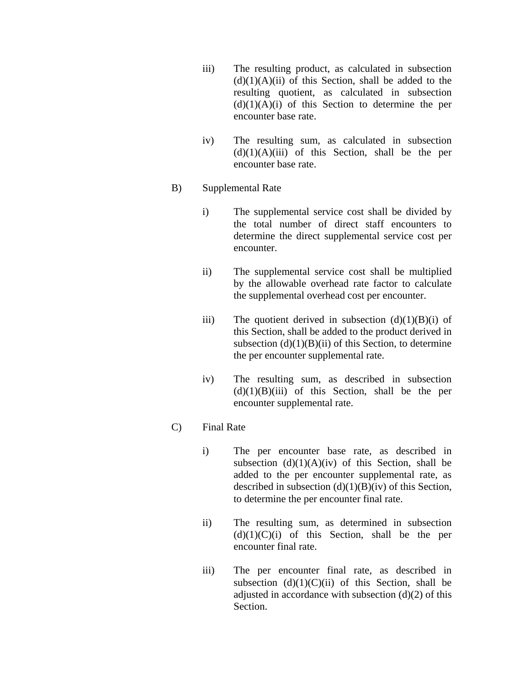- iii) The resulting product, as calculated in subsection  $(d)(1)(A)(ii)$  of this Section, shall be added to the resulting quotient, as calculated in subsection  $(d)(1)(A)(i)$  of this Section to determine the per encounter base rate.
- iv) The resulting sum, as calculated in subsection  $(d)(1)(A)(iii)$  of this Section, shall be the per encounter base rate.
- B) Supplemental Rate
	- i) The supplemental service cost shall be divided by the total number of direct staff encounters to determine the direct supplemental service cost per encounter.
	- ii) The supplemental service cost shall be multiplied by the allowable overhead rate factor to calculate the supplemental overhead cost per encounter.
	- iii) The quotient derived in subsection  $(d)(1)(B)(i)$  of this Section, shall be added to the product derived in subsection  $(d)(1)(B)(ii)$  of this Section, to determine the per encounter supplemental rate.
	- iv) The resulting sum, as described in subsection  $(d)(1)(B)(iii)$  of this Section, shall be the per encounter supplemental rate.

### C) Final Rate

- i) The per encounter base rate, as described in subsection  $(d)(1)(A)(iv)$  of this Section, shall be added to the per encounter supplemental rate, as described in subsection  $(d)(1)(B)(iv)$  of this Section, to determine the per encounter final rate.
- ii) The resulting sum, as determined in subsection  $(d)(1)(C)(i)$  of this Section, shall be the per encounter final rate.
- iii) The per encounter final rate, as described in subsection  $(d)(1)(C)(ii)$  of this Section, shall be adjusted in accordance with subsection  $(d)(2)$  of this Section.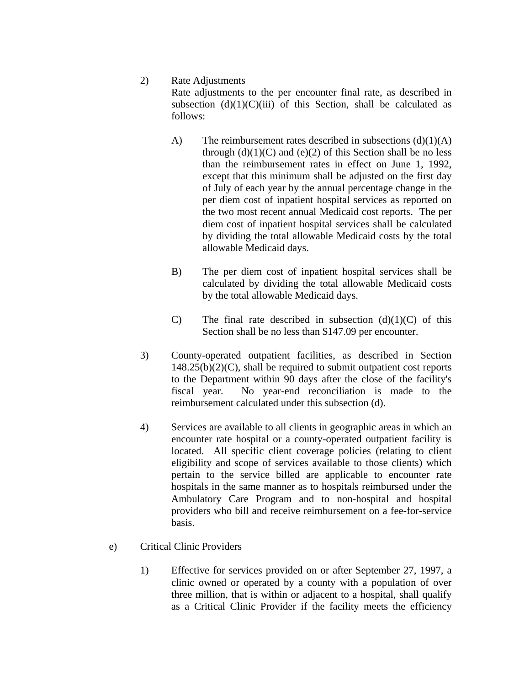#### 2) Rate Adjustments

Rate adjustments to the per encounter final rate, as described in subsection  $(d)(1)(C)(iii)$  of this Section, shall be calculated as follows:

- A) The reimbursement rates described in subsections  $(d)(1)(A)$ through  $(d)(1)(C)$  and  $(e)(2)$  of this Section shall be no less than the reimbursement rates in effect on June 1, 1992, except that this minimum shall be adjusted on the first day of July of each year by the annual percentage change in the per diem cost of inpatient hospital services as reported on the two most recent annual Medicaid cost reports. The per diem cost of inpatient hospital services shall be calculated by dividing the total allowable Medicaid costs by the total allowable Medicaid days.
- B) The per diem cost of inpatient hospital services shall be calculated by dividing the total allowable Medicaid costs by the total allowable Medicaid days.
- C) The final rate described in subsection  $(d)(1)(C)$  of this Section shall be no less than \$147.09 per encounter.
- 3) County-operated outpatient facilities, as described in Section  $148.25(b)(2)(C)$ , shall be required to submit outpatient cost reports to the Department within 90 days after the close of the facility's fiscal year. No year-end reconciliation is made to the reimbursement calculated under this subsection (d).
- 4) Services are available to all clients in geographic areas in which an encounter rate hospital or a county-operated outpatient facility is located. All specific client coverage policies (relating to client eligibility and scope of services available to those clients) which pertain to the service billed are applicable to encounter rate hospitals in the same manner as to hospitals reimbursed under the Ambulatory Care Program and to non-hospital and hospital providers who bill and receive reimbursement on a fee-for-service basis.
- e) Critical Clinic Providers
	- 1) Effective for services provided on or after September 27, 1997, a clinic owned or operated by a county with a population of over three million, that is within or adjacent to a hospital, shall qualify as a Critical Clinic Provider if the facility meets the efficiency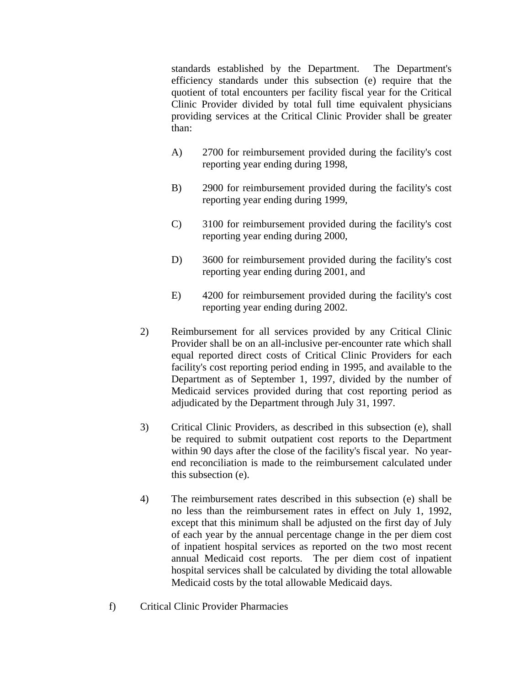standards established by the Department. The Department's efficiency standards under this subsection (e) require that the quotient of total encounters per facility fiscal year for the Critical Clinic Provider divided by total full time equivalent physicians providing services at the Critical Clinic Provider shall be greater than:

- A) 2700 for reimbursement provided during the facility's cost reporting year ending during 1998,
- B) 2900 for reimbursement provided during the facility's cost reporting year ending during 1999,
- C) 3100 for reimbursement provided during the facility's cost reporting year ending during 2000,
- D) 3600 for reimbursement provided during the facility's cost reporting year ending during 2001, and
- E) 4200 for reimbursement provided during the facility's cost reporting year ending during 2002.
- 2) Reimbursement for all services provided by any Critical Clinic Provider shall be on an all-inclusive per-encounter rate which shall equal reported direct costs of Critical Clinic Providers for each facility's cost reporting period ending in 1995, and available to the Department as of September 1, 1997, divided by the number of Medicaid services provided during that cost reporting period as adjudicated by the Department through July 31, 1997.
- 3) Critical Clinic Providers, as described in this subsection (e), shall be required to submit outpatient cost reports to the Department within 90 days after the close of the facility's fiscal year. No yearend reconciliation is made to the reimbursement calculated under this subsection (e).
- 4) The reimbursement rates described in this subsection (e) shall be no less than the reimbursement rates in effect on July 1, 1992, except that this minimum shall be adjusted on the first day of July of each year by the annual percentage change in the per diem cost of inpatient hospital services as reported on the two most recent annual Medicaid cost reports. The per diem cost of inpatient hospital services shall be calculated by dividing the total allowable Medicaid costs by the total allowable Medicaid days.
- f) Critical Clinic Provider Pharmacies